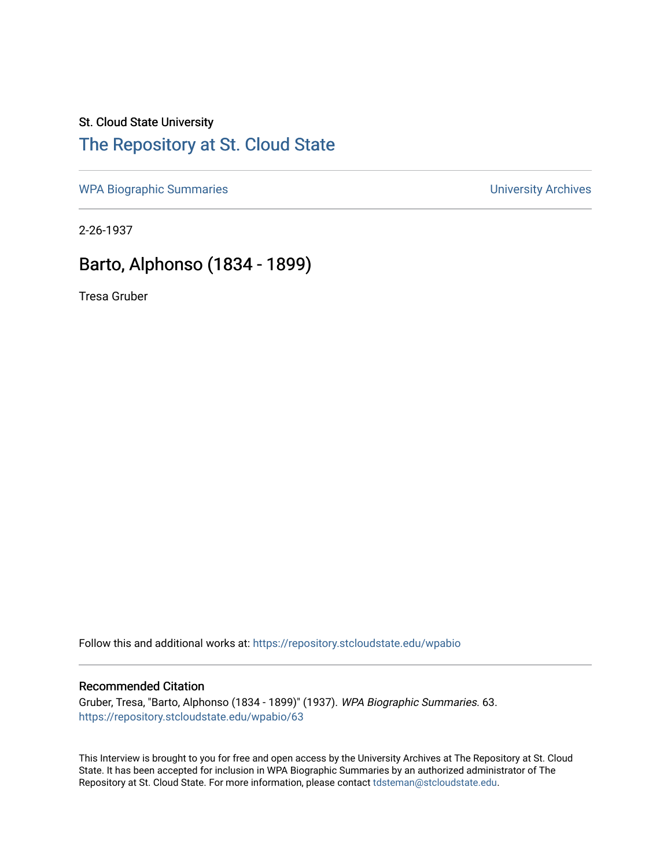#### St. Cloud State University

### [The Repository at St. Cloud State](https://repository.stcloudstate.edu/)

[WPA Biographic Summaries](https://repository.stcloudstate.edu/wpabio) **WPA Biographic Summaries University Archives** 

2-26-1937

## Barto, Alphonso (1834 - 1899)

Tresa Gruber

Follow this and additional works at: [https://repository.stcloudstate.edu/wpabio](https://repository.stcloudstate.edu/wpabio?utm_source=repository.stcloudstate.edu%2Fwpabio%2F63&utm_medium=PDF&utm_campaign=PDFCoverPages) 

#### Recommended Citation

Gruber, Tresa, "Barto, Alphonso (1834 - 1899)" (1937). WPA Biographic Summaries. 63. [https://repository.stcloudstate.edu/wpabio/63](https://repository.stcloudstate.edu/wpabio/63?utm_source=repository.stcloudstate.edu%2Fwpabio%2F63&utm_medium=PDF&utm_campaign=PDFCoverPages)

This Interview is brought to you for free and open access by the University Archives at The Repository at St. Cloud State. It has been accepted for inclusion in WPA Biographic Summaries by an authorized administrator of The Repository at St. Cloud State. For more information, please contact [tdsteman@stcloudstate.edu.](mailto:tdsteman@stcloudstate.edu)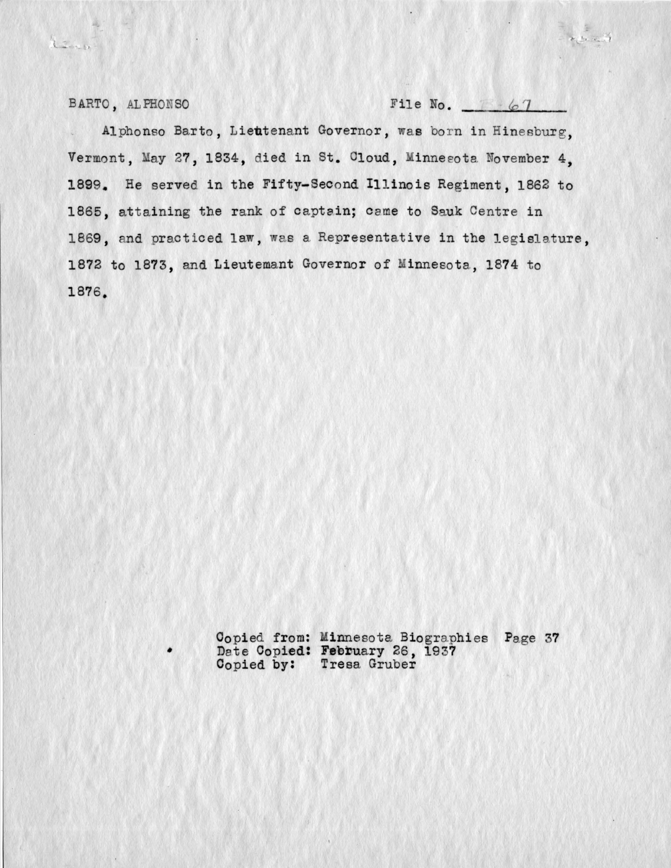$12 - 68$ 

BARTO, ALPHONSO File No.  $F - \varphi$ 

*<sup>I</sup>*, .. .:\_ \_, 1

Alphonso Barto, Lieutenant Governor, was born in Hinesburg, Vermont, May 27, 1834, died in St. Cloud, Minnesota November 4, 1899. He served in the Fifty- Second Illinois Regiment, 1862 to 1865, attaining the rank of captain; came to Sauk Centre in 1869, and practiced law, was a Representative in the legislature, 1872 to 1873, and Lieutemant Governor of Minnesota. 1874 to 1876.

> Copied from: Minnesota Biographies Page 37 • Date Copied: February 26, 1937 Oopied by: Tresa Gruber